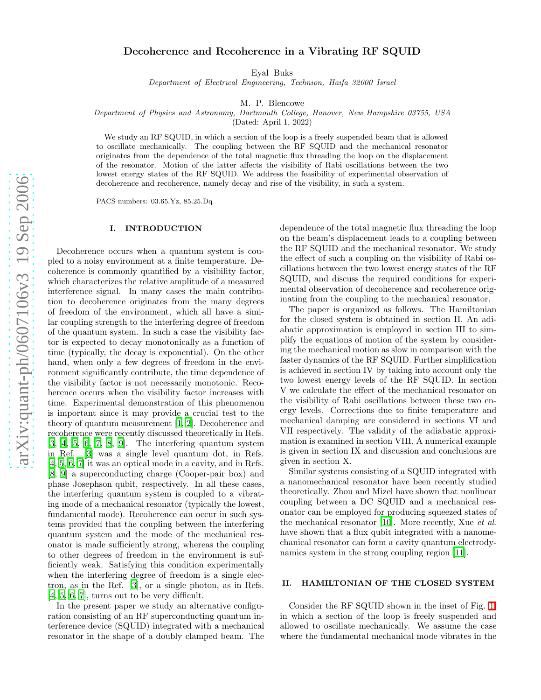# Decoherence and Recoherence in a Vibrating RF SQUID

Eyal Buks

Department of Electrical Engineering, Technion, Haifa 32000 Israel

M. P. Blencowe

Department of Physics and Astronomy, Dartmouth College, Hanover, New Hampshire 03755, USA

(Dated: April 1, 2022)

We study an RF SQUID, in which a section of the loop is a freely suspended beam that is allowed to oscillate mechanically. The coupling between the RF SQUID and the mechanical resonator originates from the dependence of the total magnetic flux threading the loop on the displacement of the resonator. Motion of the latter affects the visibility of Rabi oscillations between the two lowest energy states of the RF SQUID. We address the feasibility of experimental observation of decoherence and recoherence, namely decay and rise of the visibility, in such a system.

PACS numbers: 03.65.Yz, 85.25.Dq

## I. INTRODUCTION

Decoherence occurs when a quantum system is coupled to a noisy environment at a finite temperature. Decoherence is commonly quantified by a visibility factor, which characterizes the relative amplitude of a measured interference signal. In many cases the main contribution to decoherence originates from the many degrees of freedom of the environment, which all have a similar coupling strength to the interfering degree of freedom of the quantum system. In such a case the visibility factor is expected to decay monotonically as a function of time (typically, the decay is exponential). On the other hand, when only a few degrees of freedom in the environment significantly contribute, the time dependence of the visibility factor is not necessarily monotonic. Recoherence occurs when the visibility factor increases with time. Experimental demonstration of this phenomenon is important since it may provide a crucial test to the theory of quantum measurement [\[1,](#page-8-0) [2](#page-8-1)]. Decoherence and recoherence were recently discussed theoretically in Refs.  $[3, 4, 5, 6, 7, 8, 9]$  $[3, 4, 5, 6, 7, 8, 9]$  $[3, 4, 5, 6, 7, 8, 9]$  $[3, 4, 5, 6, 7, 8, 9]$  $[3, 4, 5, 6, 7, 8, 9]$  $[3, 4, 5, 6, 7, 8, 9]$  $[3, 4, 5, 6, 7, 8, 9]$ . The interfering quantum system in Ref. [\[3](#page-8-2)] was a single level quantum dot, in Refs. [\[4,](#page-8-3) [5](#page-8-4), [6,](#page-8-5) [7\]](#page-8-6) it was an optical mode in a cavity, and in Refs. [\[8,](#page-8-7) [9](#page-8-8)] a superconducting charge (Cooper-pair box) and phase Josephson qubit, respectively. In all these cases, the interfering quantum system is coupled to a vibrating mode of a mechanical resonator (typically the lowest, fundamental mode). Recoherence can occur in such systems provided that the coupling between the interfering quantum system and the mode of the mechanical resonator is made sufficiently strong, whereas the coupling to other degrees of freedom in the environment is sufficiently weak. Satisfying this condition experimentally when the interfering degree of freedom is a single electron, as in the Ref. [\[3\]](#page-8-2), or a single photon, as in Refs. [\[4,](#page-8-3) [5,](#page-8-4) [6,](#page-8-5) [7\]](#page-8-6), turns out to be very difficult.

In the present paper we study an alternative configuration consisting of an RF superconducting quantum interference device (SQUID) integrated with a mechanical resonator in the shape of a doubly clamped beam. The

dependence of the total magnetic flux threading the loop on the beam's displacement leads to a coupling between the RF SQUID and the mechanical resonator. We study the effect of such a coupling on the visibility of Rabi oscillations between the two lowest energy states of the RF SQUID, and discuss the required conditions for experimental observation of decoherence and recoherence originating from the coupling to the mechanical resonator.

The paper is organized as follows. The Hamiltonian for the closed system is obtained in section II. An adiabatic approximation is employed in section III to simplify the equations of motion of the system by considering the mechanical motion as slow in comparison with the faster dynamics of the RF SQUID. Further simplification is achieved in section IV by taking into account only the two lowest energy levels of the RF SQUID. In section V we calculate the effect of the mechanical resonator on the visibility of Rabi oscillations between these two energy levels. Corrections due to finite temperature and mechanical damping are considered in sections VI and VII respectively. The validity of the adiabatic approximation is examined in section VIII. A numerical example is given in section IX and discussion and conclusions are given in section X.

Similar systems consisting of a SQUID integrated with a nanomechanical resonator have been recently studied theoretically. Zhou and Mizel have shown that nonlinear coupling between a DC SQUID and a mechanical resonator can be employed for producing squeezed states of the mechanical resonator [\[10\]](#page-8-9). More recently, Xue et al. have shown that a flux qubit integrated with a nanomechanical resonator can form a cavity quantum electrodynamics system in the strong coupling region [\[11](#page-8-10)].

## II. HAMILTONIAN OF THE CLOSED SYSTEM

Consider the RF SQUID shown in the inset of Fig. [1,](#page-1-0) in which a section of the loop is freely suspended and allowed to oscillate mechanically. We assume the case where the fundamental mechanical mode vibrates in the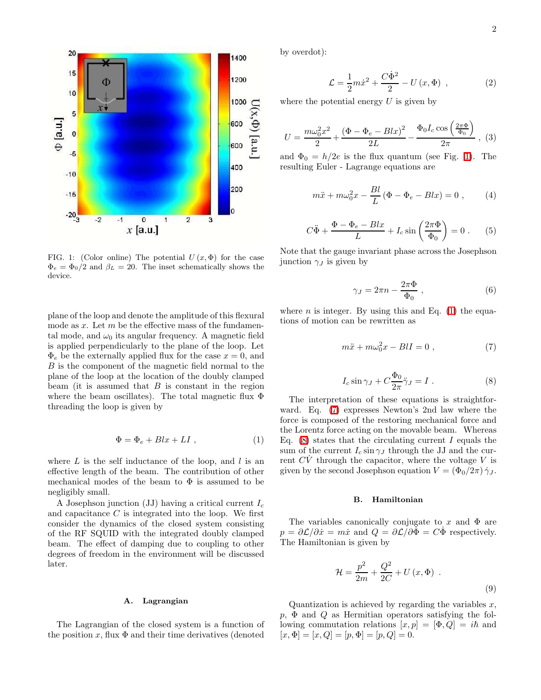

<span id="page-1-0"></span>FIG. 1: (Color online) The potential  $U(x, \Phi)$  for the case  $\Phi_e = \Phi_0/2$  and  $\beta_L = 20$ . The inset schematically shows the device.

plane of the loop and denote the amplitude of this flexural mode as  $x$ . Let  $m$  be the effective mass of the fundamental mode, and  $\omega_0$  its angular frequency. A magnetic field is applied perpendicularly to the plane of the loop. Let  $\Phi_e$  be the externally applied flux for the case  $x = 0$ , and B is the component of the magnetic field normal to the plane of the loop at the location of the doubly clamped beam (it is assumed that  $B$  is constant in the region where the beam oscillates). The total magnetic flux  $\Phi$ threading the loop is given by

$$
\Phi = \Phi_e + Blx + LI \t{,} \t(1)
$$

<span id="page-1-1"></span>where  $L$  is the self inductance of the loop, and  $l$  is an effective length of the beam. The contribution of other mechanical modes of the beam to  $\Phi$  is assumed to be negligibly small.

A Josephson junction (JJ) having a critical current  $I_c$ and capacitance  $C$  is integrated into the loop. We first consider the dynamics of the closed system consisting of the RF SQUID with the integrated doubly clamped beam. The effect of damping due to coupling to other degrees of freedom in the environment will be discussed later.

## A. Lagrangian

The Lagrangian of the closed system is a function of the position x, flux  $\Phi$  and their time derivatives (denoted

by overdot):

$$
\mathcal{L} = \frac{1}{2}m\dot{x}^2 + \frac{C\dot{\Phi}^2}{2} - U(x,\Phi) , \qquad (2)
$$

where the potential energy  $U$  is given by

$$
U = \frac{m\omega_0^2 x^2}{2} + \frac{(\Phi - \Phi_e - Blx)^2}{2L} - \frac{\Phi_0 I_c \cos\left(\frac{2\pi\Phi}{\Phi_0}\right)}{2\pi}, \tag{3}
$$

and  $\Phi_0 = h/2e$  is the flux quantum (see Fig. [1\)](#page-1-0). The resulting Euler - Lagrange equations are

$$
m\ddot{x} + m\omega_0^2 x - \frac{Bl}{L}(\Phi - \Phi_e - Blx) = 0 , \qquad (4)
$$

$$
C\ddot{\Phi} + \frac{\Phi - \Phi_e - Blx}{L} + I_c \sin\left(\frac{2\pi\Phi}{\Phi_0}\right) = 0.
$$
 (5)

Note that the gauge invariant phase across the Josephson junction  $\gamma_J$  is given by

$$
\gamma_J = 2\pi n - \frac{2\pi \Phi}{\Phi_0} \,, \tag{6}
$$

<span id="page-1-3"></span><span id="page-1-2"></span>where  $n$  is integer. By using this and Eq. [\(1\)](#page-1-1) the equations of motion can be rewritten as

$$
m\ddot{x} + m\omega_0^2 x - BII = 0 , \qquad (7)
$$

$$
I_c \sin \gamma_J + C \frac{\Phi_0}{2\pi} \ddot{\gamma}_J = I . \qquad (8)
$$

The interpretation of these equations is straightforward. Eq. [\(7\)](#page-1-2) expresses Newton's 2nd law where the force is composed of the restoring mechanical force and the Lorentz force acting on the movable beam. Whereas Eq.  $(8)$  states that the circulating current I equals the sum of the current  $I_c \sin \gamma_J$  through the JJ and the current  $CV$  through the capacitor, where the voltage  $V$  is given by the second Josephson equation  $V = (\Phi_0/2\pi) \dot{\gamma}_J$ .

# B. Hamiltonian

The variables canonically conjugate to x and  $\Phi$  are  $p = \partial \mathcal{L}/\partial \dot{x} = m\dot{x}$  and  $Q = \partial \mathcal{L}/\partial \dot{\Phi} = C\dot{\Phi}$  respectively. The Hamiltonian is given by

<span id="page-1-4"></span>
$$
\mathcal{H} = \frac{p^2}{2m} + \frac{Q^2}{2C} + U(x, \Phi) \tag{9}
$$

Quantization is achieved by regarding the variables  $x$ ,  $p, \Phi$  and  $Q$  as Hermitian operators satisfying the following commutation relations  $[x, p] = [\Phi, Q] = i\hbar$  and  $[x, \Phi] = [x, Q] = [p, \Phi] = [p, Q] = 0.$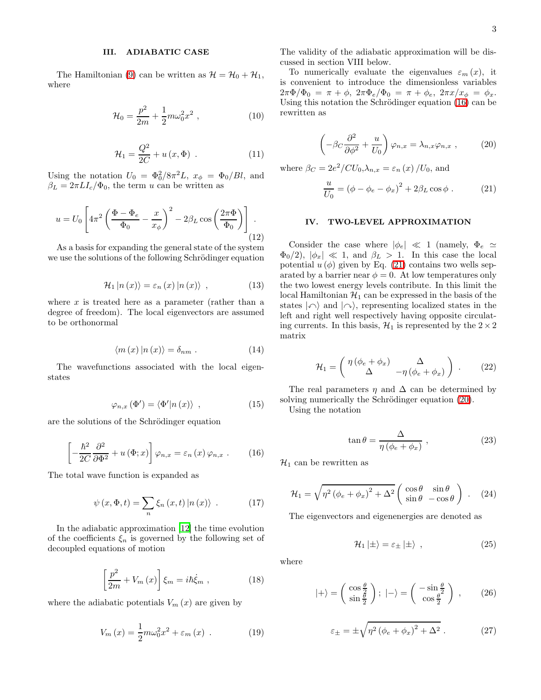## III. ADIABATIC CASE

The Hamiltonian [\(9\)](#page-1-4) can be written as  $\mathcal{H} = \mathcal{H}_0 + \mathcal{H}_1$ , where

$$
\mathcal{H}_0 = \frac{p^2}{2m} + \frac{1}{2}m\omega_0^2 x^2 , \qquad (10)
$$

$$
\mathcal{H}_1 = \frac{Q^2}{2C} + u(x, \Phi) \tag{11}
$$

Using the notation  $U_0 = \Phi_0^2 / 8\pi^2 L$ ,  $x_{\phi} = \Phi_0 / B l$ , and  $\beta_L = 2\pi L I_c/\Phi_0$ , the term u can be written as

$$
u = U_0 \left[ 4\pi^2 \left( \frac{\Phi - \Phi_e}{\Phi_0} - \frac{x}{x_\phi} \right)^2 - 2\beta_L \cos \left( \frac{2\pi \Phi}{\Phi_0} \right) \right].
$$
\n(12)

As a basis for expanding the general state of the system we use the solutions of the following Schrödinger equation

$$
\mathcal{H}_1 | n(x) \rangle = \varepsilon_n (x) | n(x) \rangle , \qquad (13)
$$

where  $x$  is treated here as a parameter (rather than a degree of freedom). The local eigenvectors are assumed to be orthonormal

$$
\langle m(x) | n(x) \rangle = \delta_{nm} . \qquad (14)
$$

The wavefunctions associated with the local eigenstates

$$
\varphi_{n,x}\left(\Phi'\right) = \langle \Phi'|n\left(x\right) \rangle \quad , \tag{15}
$$

<span id="page-2-0"></span>are the solutions of the Schrödinger equation

$$
\left[ -\frac{\hbar^2}{2C} \frac{\partial^2}{\partial \Phi^2} + u(\Phi; x) \right] \varphi_{n,x} = \varepsilon_n(x) \varphi_{n,x} . \qquad (16)
$$

<span id="page-2-4"></span>The total wave function is expanded as

$$
\psi(x, \Phi, t) = \sum_{n} \xi_n(x, t) |n(x)\rangle . \qquad (17)
$$

<span id="page-2-5"></span>In the adiabatic approximation [\[12\]](#page-8-11) the time evolution of the coefficients  $\xi_n$  is governed by the following set of decoupled equations of motion

$$
\left[\frac{p^2}{2m} + V_m(x)\right]\xi_m = i\hbar \dot{\xi}_m , \qquad (18)
$$

<span id="page-2-3"></span>where the adiabatic potentials  $V_m(x)$  are given by

$$
V_m(x) = \frac{1}{2}m\omega_0^2 x^2 + \varepsilon_m(x) \tag{19}
$$

The validity of the adiabatic approximation will be discussed in section VIII below.

<span id="page-2-2"></span>To numerically evaluate the eigenvalues  $\varepsilon_m(x)$ , it is convenient to introduce the dimensionless variables  $2\pi\Phi/\Phi_0 = \pi + \phi$ ,  $2\pi\Phi_e/\Phi_0 = \pi + \phi_e$ ,  $2\pi x/x_\phi = \phi_x$ . Using this notation the Schrödinger equation  $(16)$  can be rewritten as

<span id="page-2-1"></span>
$$
\left(-\beta_C \frac{\partial^2}{\partial \phi^2} + \frac{u}{U_0}\right) \varphi_{n,x} = \lambda_{n,x} \varphi_{n,x} ,\qquad (20)
$$

where  $\beta_C = 2e^2/CU_0, \lambda_{n,x} = \varepsilon_n(x)/U_0$ , and

$$
\frac{u}{U_0} = (\phi - \phi_e - \phi_x)^2 + 2\beta_L \cos\phi .
$$
 (21)

## IV. TWO-LEVEL APPROXIMATION

Consider the case where  $|\phi_e| \ll 1$  (namely,  $\Phi_e \simeq$  $\Phi_0/2$ ,  $|\phi_x| \ll 1$ , and  $\beta_L > 1$ . In this case the local potential  $u(\phi)$  given by Eq. [\(21\)](#page-2-1) contains two wells separated by a barrier near  $\phi = 0$ . At low temperatures only the two lowest energy levels contribute. In this limit the local Hamiltonian  $\mathcal{H}_1$  can be expressed in the basis of the states  $|\triangle\rangle$  and  $|\triangle\rangle$ , representing localized states in the left and right well respectively having opposite circulating currents. In this basis,  $\mathcal{H}_1$  is represented by the  $2 \times 2$ matrix

$$
\mathcal{H}_1 = \begin{pmatrix} \eta \left( \phi_e + \phi_x \right) & \Delta \\ \Delta & -\eta \left( \phi_e + \phi_x \right) \end{pmatrix} . \tag{22}
$$

<span id="page-2-6"></span>The real parameters  $\eta$  and  $\Delta$  can be determined by solving numerically the Schrödinger equation [\(20\)](#page-2-2).

Using the notation

$$
\tan \theta = \frac{\Delta}{\eta \left(\phi_e + \phi_x\right)}\,,\tag{23}
$$

 $\mathcal{H}_1$  can be rewritten as

$$
\mathcal{H}_1 = \sqrt{\eta^2 \left(\phi_e + \phi_x\right)^2 + \Delta^2} \begin{pmatrix} \cos \theta & \sin \theta \\ \sin \theta & -\cos \theta \end{pmatrix} . \tag{24}
$$

The eigenvectors and eigenenergies are denoted as

$$
\mathcal{H}_1 | \pm \rangle = \varepsilon_{\pm} | \pm \rangle , \qquad (25)
$$

where

$$
|+\rangle = \left(\begin{array}{c} \cos\frac{\theta}{2} \\ \sin\frac{\theta}{2} \end{array}\right); \ |-\rangle = \left(\begin{array}{c} -\sin\frac{\theta}{2} \\ \cos\frac{\theta}{2} \end{array}\right) , \qquad (26)
$$

$$
\varepsilon_{\pm} = \pm \sqrt{\eta^2 \left(\phi_e + \phi_x\right)^2 + \Delta^2} \ . \tag{27}
$$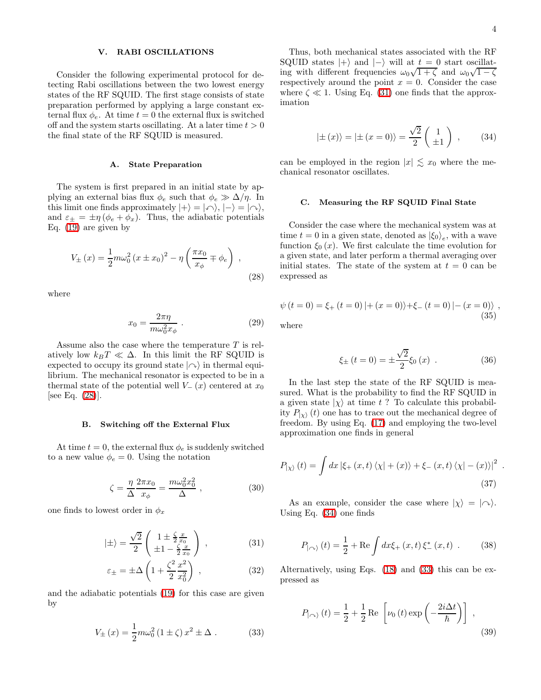## V. RABI OSCILLATIONS

Consider the following experimental protocol for detecting Rabi oscillations between the two lowest energy states of the RF SQUID. The first stage consists of state preparation performed by applying a large constant external flux  $\phi_e$ . At time  $t = 0$  the external flux is switched off and the system starts oscillating. At a later time  $t > 0$ the final state of the RF SQUID is measured.

## A. State Preparation

The system is first prepared in an initial state by applying an external bias flux  $\phi_e$  such that  $\phi_e \gg \Delta/\eta$ . In this limit one finds approximately  $|+\rangle = |\curvearrowleft\rangle, |-\rangle = |\curvearrowright\rangle$ , and  $\varepsilon_{\pm} = \pm \eta (\phi_e + \phi_x)$ . Thus, the adiabatic potentials Eq. [\(19\)](#page-2-3) are given by

$$
V_{\pm}(x) = \frac{1}{2}m\omega_0^2 (x \pm x_0)^2 - \eta \left(\frac{\pi x_0}{x_{\phi}} \mp \phi_e\right) ,
$$
 (28)

where

<span id="page-3-0"></span>
$$
x_0 = \frac{2\pi\eta}{m\omega_0^2 x_\phi} \ . \tag{29}
$$

Assume also the case where the temperature T is relatively low  $k_BT \ll \Delta$ . In this limit the RF SQUID is expected to occupy its ground state  $|\sim\rangle$  in thermal equilibrium. The mechanical resonator is expected to be in a thermal state of the potential well  $V_-(x)$  centered at  $x_0$ [see Eq. [\(28\)](#page-3-0)].

#### B. Switching off the External Flux

At time  $t = 0$ , the external flux  $\phi_e$  is suddenly switched to a new value  $\phi_e = 0$ . Using the notation

$$
\zeta = \frac{\eta}{\Delta} \frac{2\pi x_0}{x_\phi} = \frac{m\omega_0^2 x_0^2}{\Delta} , \qquad (30)
$$

one finds to lowest order in  $\phi_x$ 

<span id="page-3-1"></span>
$$
|\pm\rangle = \frac{\sqrt{2}}{2} \begin{pmatrix} 1 \pm \frac{\zeta}{2} \frac{x}{x_0} \\ \pm 1 - \frac{\zeta}{2} \frac{x}{x_0} \end{pmatrix} , \qquad (31)
$$

$$
\varepsilon_{\pm} = \pm \Delta \left( 1 + \frac{\zeta^2}{2} \frac{x^2}{x_0^2} \right) , \qquad (32)
$$

<span id="page-3-3"></span>and the adiabatic potentials [\(19\)](#page-2-3) for this case are given by

$$
V_{\pm}(x) = \frac{1}{2} m \omega_0^2 (1 \pm \zeta) x^2 \pm \Delta . \qquad (33)
$$

.

<span id="page-3-2"></span>Thus, both mechanical states associated with the RF SQUID states  $|+\rangle$  and  $|-\rangle$  will at  $t = 0$  start oscillating with different frequencies  $\omega_0\sqrt{1+\zeta}$  and  $\omega_0\sqrt{1-\zeta}$ respectively around the point  $x = 0$ . Consider the case where  $\zeta \ll 1$ . Using Eq. [\(31\)](#page-3-1) one finds that the approximation

$$
|\pm (x)\rangle = |\pm (x = 0)\rangle = \frac{\sqrt{2}}{2} \begin{pmatrix} 1 \\ \pm 1 \end{pmatrix} ,
$$
 (34)

can be employed in the region  $|x| \lesssim x_0$  where the mechanical resonator oscillates.

## C. Measuring the RF SQUID Final State

Consider the case where the mechanical system was at time  $t = 0$  in a given state, denoted as  $|\xi_0\rangle_e$ , with a wave function  $\xi_0(x)$ . We first calculate the time evolution for a given state, and later perform a thermal averaging over initial states. The state of the system at  $t = 0$  can be expressed as

$$
\psi(t=0) = \xi_{+}(t=0) \, |+(x=0)\rangle + \xi_{-}(t=0) \, |-(x=0)\rangle \, , \tag{35}
$$

where

$$
\xi_{\pm} (t = 0) = \pm \frac{\sqrt{2}}{2} \xi_0 (x) .
$$
 (36)

In the last step the state of the RF SQUID is measured. What is the probability to find the RF SQUID in a given state  $|\chi\rangle$  at time t ? To calculate this probability  $P_{\vert\chi\rangle}$  (t) one has to trace out the mechanical degree of freedom. By using Eq. [\(17\)](#page-2-4) and employing the two-level approximation one finds in general

$$
P_{|\chi\rangle}(t) = \int dx \left| \xi_{+}(x,t) \left\langle \chi \right| + (x) \right\rangle + \xi_{-}(x,t) \left\langle \chi \right| - (x) \right\rangle|^{2}
$$
\n(37)

As an example, consider the case where  $|\chi\rangle = |\sim\rangle$ . Using Eq. [\(34\)](#page-3-2) one finds

$$
P_{|\sim\rangle}(t) = \frac{1}{2} + \text{Re} \int dx \xi_+(x, t) \xi_-^*(x, t) . \quad (38)
$$

Alternatively, using Eqs. [\(18\)](#page-2-5) and [\(33\)](#page-3-3) this can be expressed as

<span id="page-3-4"></span>
$$
P_{|\sim\rangle}(t) = \frac{1}{2} + \frac{1}{2} \operatorname{Re} \left[ \nu_0(t) \exp\left(-\frac{2i\Delta t}{\hbar}\right) \right] ,
$$
\n(39)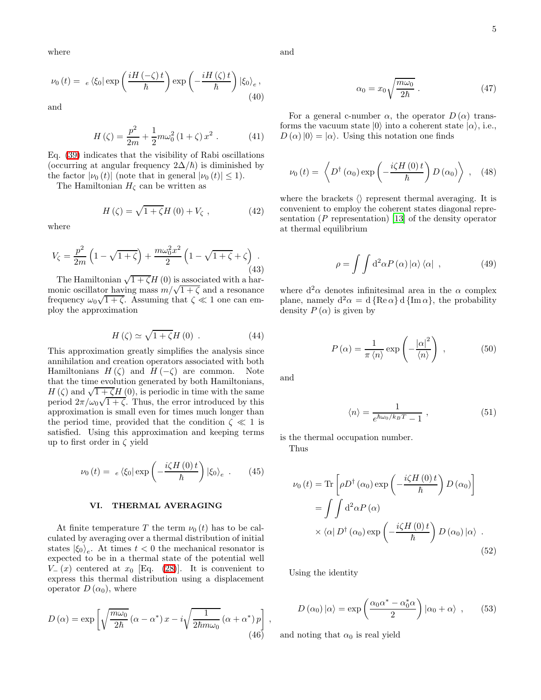where

$$
\nu_0(t) = e \langle \xi_0 | \exp\left(\frac{iH\left(-\zeta\right)t}{\hbar}\right) \exp\left(-\frac{iH\left(\zeta\right)t}{\hbar}\right) |\xi_0\rangle_e, \tag{40}
$$

and

$$
H(\zeta) = \frac{p^2}{2m} + \frac{1}{2}m\omega_0^2 (1+\zeta) x^2 . \qquad (41)
$$

Eq. [\(39\)](#page-3-4) indicates that the visibility of Rabi oscillations (occurring at angular frequency  $2\Delta/\hbar$ ) is diminished by the factor  $|\nu_0(t)|$  (note that in general  $|\nu_0(t)| \leq 1$ ).

The Hamiltonian  $H_{\zeta}$  can be written as

$$
H\left(\zeta\right) = \sqrt{1 + \zeta} H\left(0\right) + V_{\zeta} \tag{42}
$$

where

$$
V_{\zeta} = \frac{p^2}{2m} \left( 1 - \sqrt{1 + \zeta} \right) + \frac{m\omega_0^2 x^2}{2} \left( 1 - \sqrt{1 + \zeta} + \zeta \right). \tag{43}
$$

The Hamiltonian  $\sqrt{1+\zeta}H(0)$  is associated with a harmonic oscillator having mass  $m/\sqrt{1+\zeta}$  and a resonance frequency  $\omega_0\sqrt{1+\zeta}$ . Assuming that  $\zeta \ll 1$  one can employ the approximation

$$
H\left(\zeta\right) \simeq \sqrt{1+\zeta}H\left(0\right) \ . \tag{44}
$$

This approximation greatly simplifies the analysis since annihilation and creation operators associated with both Hamiltonians  $H(\zeta)$  and  $H(-\zeta)$  are common. Note that the time evolution generated by both Hamiltonians,  $H(\zeta)$  and  $\sqrt{1+\zeta}H(0)$ , is periodic in time with the same period  $2\pi/\omega_0\sqrt{1+\zeta}$ . Thus, the error introduced by this approximation is small even for times much longer than the period time, provided that the condition  $\zeta \ll 1$  is satisfied. Using this approximation and keeping terms up to first order in  $\zeta$  yield

$$
\nu_0(t) = e \langle \xi_0 | \exp \left( -\frac{i \zeta H(0) t}{\hbar} \right) | \xi_0 \rangle_e . \qquad (45)
$$

## VI. THERMAL AVERAGING

At finite temperature T the term  $\nu_0(t)$  has to be calculated by averaging over a thermal distribution of initial states  $|\xi_0\rangle_e$ . At times  $t < 0$  the mechanical resonator is expected to be in a thermal state of the potential well  $V_-(x)$  centered at  $x_0$  [Eq. [\(28\)](#page-3-0)]. It is convenient to express this thermal distribution using a displacement operator  $D(\alpha_0)$ , where

$$
D(\alpha) = \exp\left[\sqrt{\frac{m\omega_0}{2\hbar}}\left(\alpha - \alpha^*\right)x - i\sqrt{\frac{1}{2\hbar m\omega_0}}\left(\alpha + \alpha^*\right)p\right],\tag{46}
$$

and

$$
\alpha_0 = x_0 \sqrt{\frac{m\omega_0}{2\hbar}} \ . \tag{47}
$$

<span id="page-4-0"></span>For a general c-number  $\alpha$ , the operator  $D(\alpha)$  transforms the vacuum state  $|0\rangle$  into a coherent state  $|\alpha\rangle$ , i.e.,  $D(\alpha)|0\rangle = |\alpha\rangle$ . Using this notation one finds

$$
\nu_0(t) = \left\langle D^{\dagger}(\alpha_0) \exp\left(-\frac{i\zeta H(0)t}{\hbar}\right) D(\alpha_0) \right\rangle , \quad (48)
$$

where the brackets  $\langle \rangle$  represent thermal averaging. It is convenient to employ the coherent states diagonal representation ( $P$  representation) [\[13\]](#page-8-12) of the density operator at thermal equilibrium

$$
\rho = \int \int d^2\alpha P(\alpha) |\alpha\rangle \langle \alpha | , \qquad (49)
$$

where  $d^2\alpha$  denotes infinitesimal area in the  $\alpha$  complex plane, namely  $d^2\alpha = d \{Re \alpha\} d \{Im \alpha\}$ , the probability density  $P(\alpha)$  is given by

$$
P(\alpha) = \frac{1}{\pi \langle n \rangle} \exp\left(-\frac{|\alpha|^2}{\langle n \rangle}\right) , \qquad (50)
$$

and

$$
\langle n \rangle = \frac{1}{e^{\hbar \omega_0 / k_B T} - 1} \,, \tag{51}
$$

is the thermal occupation number.

Thus

$$
\nu_0(t) = \text{Tr}\left[\rho D^{\dagger}(\alpha_0) \exp\left(-\frac{i\zeta H(0)t}{\hbar}\right) D(\alpha_0)\right]
$$

$$
= \int \int d^2\alpha P(\alpha)
$$

$$
\times \langle \alpha | D^{\dagger}(\alpha_0) \exp\left(-\frac{i\zeta H(0)t}{\hbar}\right) D(\alpha_0) |\alpha\rangle .
$$
(52)

<span id="page-4-2"></span><span id="page-4-1"></span>Using the identity

$$
D(\alpha_0) |\alpha\rangle = \exp\left(\frac{\alpha_0 \alpha^* - \alpha_0^* \alpha}{2}\right) |\alpha_0 + \alpha\rangle , \qquad (53)
$$

and noting that  $\alpha_0$  is real yield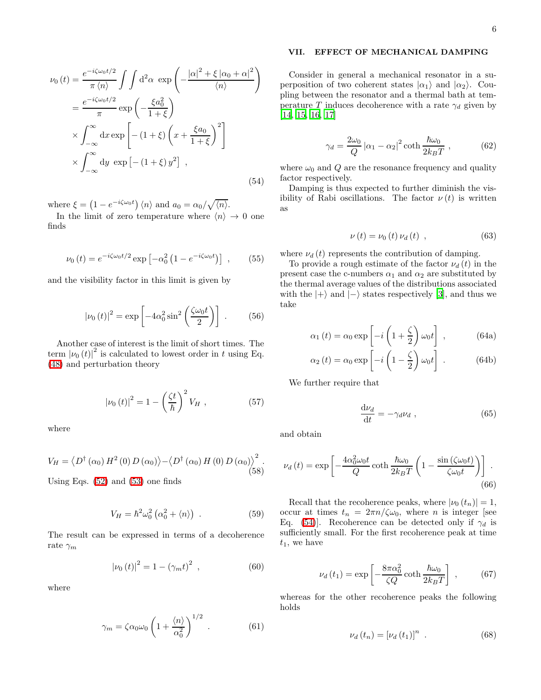$$
\nu_0(t) = \frac{e^{-i\zeta\omega_0 t/2}}{\pi \langle n \rangle} \int \int d^2 \alpha \exp\left(-\frac{|\alpha|^2 + \xi |\alpha_0 + \alpha|^2}{\langle n \rangle}\right)
$$
  

$$
= \frac{e^{-i\zeta\omega_0 t/2}}{\pi} \exp\left(-\frac{\xi a_0^2}{1+\xi}\right)
$$
  

$$
\times \int_{-\infty}^{\infty} dx \exp\left[-\left(1+\xi\right)\left(x + \frac{\xi a_0}{1+\xi}\right)^2\right]
$$
  

$$
\times \int_{-\infty}^{\infty} dy \exp\left[-\left(1+\xi\right)y^2\right],
$$
 (54)

where  $\xi = (1 - e^{-i\zeta\omega_0 t}) \langle n \rangle$  and  $a_0 = \alpha_0/\sqrt{\langle n \rangle}$ .

In the limit of zero temperature where  $\langle n \rangle \rightarrow 0$  one finds

$$
\nu_0(t) = e^{-i\zeta\omega_0 t/2} \exp\left[-\alpha_0^2 \left(1 - e^{-i\zeta\omega_0 t}\right)\right] ,\qquad (55)
$$

and the visibility factor in this limit is given by

$$
\left|\nu_0(t)\right|^2 = \exp\left[-4\alpha_0^2 \sin^2\left(\frac{\zeta\omega_0 t}{2}\right)\right] \,. \tag{56}
$$

Another case of interest is the limit of short times. The term  $|\nu_0(t)|^2$  is calculated to lowest order in t using Eq. [\(48\)](#page-4-0) and perturbation theory

$$
|\nu_0(t)|^2 = 1 - \left(\frac{\zeta t}{\hbar}\right)^2 V_H , \qquad (57)
$$

where

$$
V_H = \langle D^{\dagger}(\alpha_0) H^2(0) D(\alpha_0) \rangle - \langle D^{\dagger}(\alpha_0) H(0) D(\alpha_0) \rangle^2.
$$
\n(58)

Using Eqs. [\(52\)](#page-4-1) and [\(53\)](#page-4-2) one finds

$$
V_H = \hbar^2 \omega_0^2 \left( \alpha_0^2 + \langle n \rangle \right) \,. \tag{59}
$$

The result can be expressed in terms of a decoherence rate  $\gamma_m$ 

$$
|\nu_0(t)|^2 = 1 - (\gamma_m t)^2 \t\t(60)
$$

where

$$
\gamma_m = \zeta \alpha_0 \omega_0 \left( 1 + \frac{\langle n \rangle}{\alpha_0^2} \right)^{1/2} . \tag{61}
$$

## VII. EFFECT OF MECHANICAL DAMPING

Consider in general a mechanical resonator in a superposition of two coherent states  $|\alpha_1\rangle$  and  $|\alpha_2\rangle$ . Coupling between the resonator and a thermal bath at temperature T induces decoherence with a rate  $\gamma_d$  given by [\[14,](#page-8-13) [15,](#page-8-14) [16,](#page-8-15) [17\]](#page-8-16)

$$
\gamma_d = \frac{2\omega_0}{Q} |\alpha_1 - \alpha_2|^2 \coth \frac{\hbar \omega_0}{2k_B T} , \qquad (62)
$$

<span id="page-5-0"></span>where  $\omega_0$  and Q are the resonance frequency and quality factor respectively.

Damping is thus expected to further diminish the visibility of Rabi oscillations. The factor  $\nu(t)$  is written as

$$
\nu(t) = \nu_0(t) \nu_d(t) , \qquad (63)
$$

where  $\nu_d(t)$  represents the contribution of damping.

To provide a rough estimate of the factor  $\nu_d(t)$  in the present case the c-numbers  $\alpha_1$  and  $\alpha_2$  are substituted by the thermal average values of the distributions associated with the  $|+\rangle$  and  $|-\rangle$  states respectively [\[3\]](#page-8-2), and thus we take

$$
\alpha_1(t) = \alpha_0 \exp\left[-i\left(1 + \frac{\zeta}{2}\right)\omega_0 t\right],\qquad (64a)
$$

$$
\alpha_2(t) = \alpha_0 \exp\left[-i\left(1 - \frac{\zeta}{2}\right)\omega_0 t\right] \,. \tag{64b}
$$

We further require that

$$
\frac{\mathrm{d}\nu_d}{\mathrm{d}t} = -\gamma_d \nu_d \;, \tag{65}
$$

and obtain

$$
\nu_d(t) = \exp\left[-\frac{4\alpha_0^2 \omega_0 t}{Q} \coth \frac{\hbar \omega_0}{2k_B T} \left(1 - \frac{\sin\left(\zeta \omega_0 t\right)}{\zeta \omega_0 t}\right)\right].
$$
\n(66)

Recall that the recoherence peaks, where  $|\nu_0(t_n)| = 1$ , occur at times  $t_n = 2\pi n/\zeta\omega_0$ , where *n* is integer [see Eq. [\(54\)](#page-5-0)]. Recoherence can be detected only if  $\gamma_d$  is sufficiently small. For the first recoherence peak at time  $t_1$ , we have

$$
\nu_d(t_1) = \exp\left[-\frac{8\pi\alpha_0^2}{\zeta Q}\coth\frac{\hbar\omega_0}{2k_BT}\right] \,,\tag{67}
$$

whereas for the other recoherence peaks the following holds

$$
\nu_d(t_n) = \left[\nu_d(t_1)\right]^n \tag{68}
$$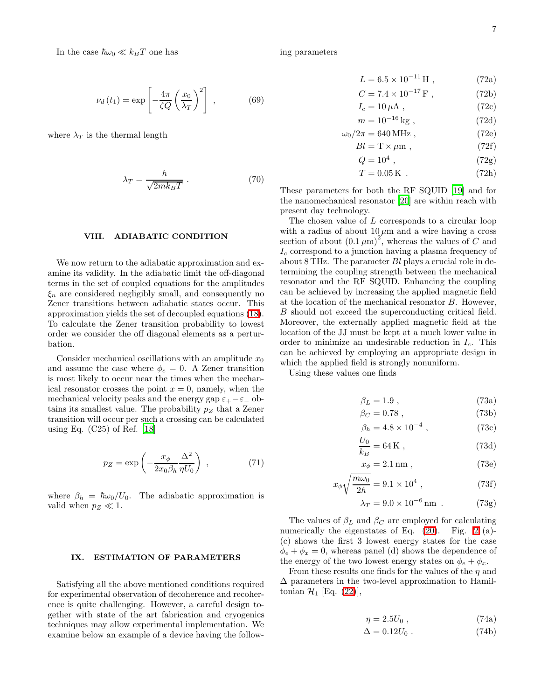In the case  $\hbar\omega_0 \ll k_BT$  one has

$$
\nu_d(t_1) = \exp\left[-\frac{4\pi}{\zeta Q} \left(\frac{x_0}{\lambda_T}\right)^2\right] \,,\tag{69}
$$

where  $\lambda_T$  is the thermal length

$$
\lambda_T = \frac{\hbar}{\sqrt{2mk_BT}} \ . \tag{70}
$$

### VIII. ADIABATIC CONDITION

We now return to the adiabatic approximation and examine its validity. In the adiabatic limit the off-diagonal terms in the set of coupled equations for the amplitudes  $\xi_n$  are considered negligibly small, and consequently no Zener transitions between adiabatic states occur. This approximation yields the set of decoupled equations [\(18\)](#page-2-5). To calculate the Zener transition probability to lowest order we consider the off diagonal elements as a perturbation.

Consider mechanical oscillations with an amplitude  $x_0$ and assume the case where  $\phi_e = 0$ . A Zener transition is most likely to occur near the times when the mechanical resonator crosses the point  $x = 0$ , namely, when the mechanical velocity peaks and the energy gap  $\varepsilon_+ - \varepsilon_-$  obtains its smallest value. The probability  $p_Z$  that a Zener transition will occur per such a crossing can be calculated using Eq.  $(C25)$  of Ref. [\[18\]](#page-8-17)

$$
p_Z = \exp\left(-\frac{x_\phi}{2x_0\beta_h} \frac{\Delta^2}{\eta U_0}\right) ,\qquad (71)
$$

where  $\beta_h = \hbar \omega_0/U_0$ . The adiabatic approximation is valid when  $p_Z \ll 1$ .

## IX. ESTIMATION OF PARAMETERS

Satisfying all the above mentioned conditions required for experimental observation of decoherence and recoherence is quite challenging. However, a careful design together with state of the art fabrication and cryogenics techniques may allow experimental implementation. We examine below an example of a device having the following parameters

$$
L = 6.5 \times 10^{-11} \,\mathrm{H} \;, \tag{72a}
$$

$$
C = 7.4 \times 10^{-17} \,\text{F} \,, \tag{72b}
$$

$$
I_c = 10 \,\mu\text{A} \,,\tag{72c}
$$

$$
m = 10^{-16} \,\text{kg} \,,\tag{72d}
$$

$$
\omega_0/2\pi = 640 \,\text{MHz} \tag{72e}
$$

$$
Bl = T \times \mu m , \qquad (72f)
$$

$$
Q = 10^4 \tag{72g}
$$

$$
T = 0.05 \,\mathrm{K} \tag{72h}
$$

These parameters for both the RF SQUID [\[19](#page-8-18)] and for the nanomechanical resonator [\[20\]](#page-8-19) are within reach with present day technology.

The chosen value of L corresponds to a circular loop with a radius of about  $10 \mu m$  and a wire having a cross section of about  $(0.1 \mu m)^2$ , whereas the values of C and  $I_c$  correspond to a junction having a plasma frequency of about 8 THz. The parameter Bl plays a crucial role in determining the coupling strength between the mechanical resonator and the RF SQUID. Enhancing the coupling can be achieved by increasing the applied magnetic field at the location of the mechanical resonator B. However, B should not exceed the superconducting critical field. Moreover, the externally applied magnetic field at the location of the JJ must be kept at a much lower value in order to minimize an undesirable reduction in  $I_c$ . This can be achieved by employing an appropriate design in which the applied field is strongly nonuniform.

Using these values one finds

$$
\beta_L = 1.9 \tag{73a}
$$

$$
\beta_C = 0.78 \tag{73b}
$$

$$
\beta_h = 4.8 \times 10^{-4} , \qquad (73c)
$$

$$
\frac{U_0}{k_B} = 64 \,\mathrm{K} \ , \tag{73d}
$$

$$
x_{\phi} = 2.1 \,\text{nm} \tag{73e}
$$

$$
x_{\phi}\sqrt{\frac{m\omega_0}{2\hbar}} = 9.1 \times 10^4 , \qquad (73f)
$$

$$
\lambda_T = 9.0 \times 10^{-6} \,\mathrm{nm} \tag{73g}
$$

The values of  $\beta_L$  and  $\beta_C$  are employed for calculating numerically the eigenstates of Eq.  $(20)$ . Fig. [2](#page-7-0) (a)-(c) shows the first 3 lowest energy states for the case  $\phi_e + \phi_x = 0$ , whereas panel (d) shows the dependence of the energy of the two lowest energy states on  $\phi_e + \phi_x$ .

From these results one finds for the values of the  $\eta$  and  $\Delta$  parameters in the two-level approximation to Hamiltonian  $\mathcal{H}_1$  [Eq. [\(22\)](#page-2-6)],

$$
\eta = 2.5U_0 ,\qquad (74a)
$$

$$
\Delta = 0.12U_0 \tag{74b}
$$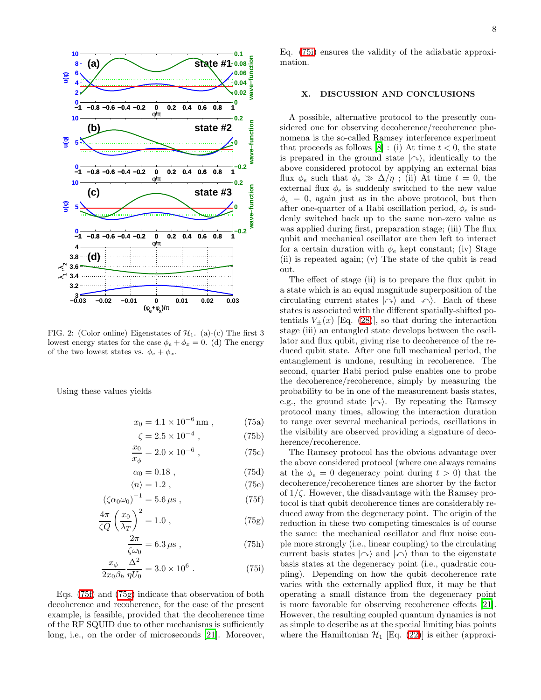

<span id="page-7-0"></span>FIG. 2: (Color online) Eigenstates of  $\mathcal{H}_1$ . (a)-(c) The first 3 lowest energy states for the case  $\phi_e + \phi_x = 0$ . (d) The energy of the two lowest states vs.  $\phi_e + \phi_x$ .

Using these values yields

$$
x_0 = 4.1 \times 10^{-6} \,\text{nm} \ , \qquad (75a)
$$

$$
\zeta = 2.5 \times 10^{-4} , \qquad (75b)
$$

$$
\frac{x_0}{x_\phi} = 2.0 \times 10^{-6} , \qquad (75c)
$$

<span id="page-7-1"></span>
$$
\alpha_0 = 0.18 \tag{75d}
$$

<span id="page-7-2"></span>
$$
\langle n \rangle = 1.2 \; , \tag{75e}
$$

$$
\left(\zeta \alpha_0 \omega_0\right)^{-1} = 5.6 \,\mu s \,,\tag{75f}
$$

$$
\frac{4\pi}{\zeta Q} \left(\frac{x_0}{\lambda_T}\right)^2 = 1.0 , \qquad (75g)
$$

<span id="page-7-3"></span>
$$
\frac{2\pi}{\zeta\omega_0} = 6.3 \,\mu\text{s} \,,\tag{75h}
$$

$$
\frac{x_{\phi}}{2x_0\beta_h} \frac{\Delta^2}{\eta U_0} = 3.0 \times 10^6 \ . \tag{75i}
$$

Eqs. [\(75f\)](#page-7-1) and [\(75g\)](#page-7-2) indicate that observation of both decoherence and recoherence, for the case of the present example, is feasible, provided that the decoherence time of the RF SQUID due to other mechanisms is sufficiently long, i.e., on the order of microseconds [\[21\]](#page-8-20). Moreover, Eq. [\(75i\)](#page-7-3) ensures the validity of the adiabatic approxi-

## X. DISCUSSION AND CONCLUSIONS

mation.

A possible, alternative protocol to the presently considered one for observing decoherence/recoherence phenomena is the so-called Ramsey interference experiment that proceeds as follows [\[8\]](#page-8-7) : (i) At time  $t < 0$ , the state is prepared in the ground state  $|\sim\rangle$ , identically to the above considered protocol by applying an external bias flux  $\phi_e$  such that  $\phi_e \gg \Delta/\eta$ ; (ii) At time  $t = 0$ , the external flux  $\phi_e$  is suddenly switched to the new value  $\phi_e = 0$ , again just as in the above protocol, but then after one-quarter of a Rabi oscillation period,  $\phi_e$  is suddenly switched back up to the same non-zero value as was applied during first, preparation stage; (iii) The flux qubit and mechanical oscillator are then left to interact for a certain duration with  $\phi_e$  kept constant; (iv) Stage (ii) is repeated again; (v) The state of the qubit is read out.

The effect of stage (ii) is to prepare the flux qubit in a state which is an equal magnitude superposition of the circulating current states  $|\sim\rangle$  and  $|\sim\rangle$ . Each of these states is associated with the different spatially-shifted potentials  $V_{\pm}(x)$  [Eq. [\(28\)](#page-3-0)], so that during the interaction stage (iii) an entangled state develops between the oscillator and flux qubit, giving rise to decoherence of the reduced qubit state. After one full mechanical period, the entanglement is undone, resulting in recoherence. The second, quarter Rabi period pulse enables one to probe the decoherence/recoherence, simply by measuring the probability to be in one of the measurement basis states, e.g., the ground state  $|\sim\rangle$ . By repeating the Ramsey protocol many times, allowing the interaction duration to range over several mechanical periods, oscillations in the visibility are observed providing a signature of decoherence/recoherence.

The Ramsey protocol has the obvious advantage over the above considered protocol (where one always remains at the  $\phi_e = 0$  degeneracy point during  $t > 0$ ) that the decoherence/recoherence times are shorter by the factor of  $1/\zeta$ . However, the disadvantage with the Ramsey protocol is that qubit decoherence times are considerably reduced away from the degeneracy point. The origin of the reduction in these two competing timescales is of course the same: the mechanical oscillator and flux noise couple more strongly (i.e., linear coupling) to the circulating current basis states  $|\sim\rangle$  and  $|\sim\rangle$  than to the eigenstate basis states at the degeneracy point (i.e., quadratic coupling). Depending on how the qubit decoherence rate varies with the externally applied flux, it may be that operating a small distance from the degeneracy point is more favorable for observing recoherence effects [\[21\]](#page-8-20). However, the resulting coupled quantum dynamics is not as simple to describe as at the special limiting bias points where the Hamiltonian  $\mathcal{H}_1$  [Eq. [\(22\)](#page-2-6)] is either (approxi